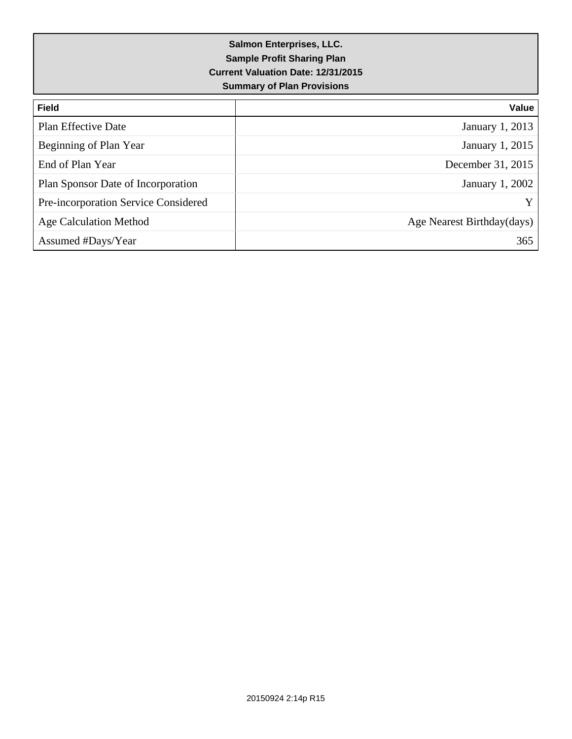| <b>Field</b>                         | Value                      |
|--------------------------------------|----------------------------|
| Plan Effective Date                  | <b>January 1, 2013</b>     |
| Beginning of Plan Year               | January 1, 2015            |
| End of Plan Year                     | December 31, 2015          |
| Plan Sponsor Date of Incorporation   | January 1, 2002            |
| Pre-incorporation Service Considered | Y                          |
| Age Calculation Method               | Age Nearest Birthday(days) |
| Assumed #Days/Year                   | 365                        |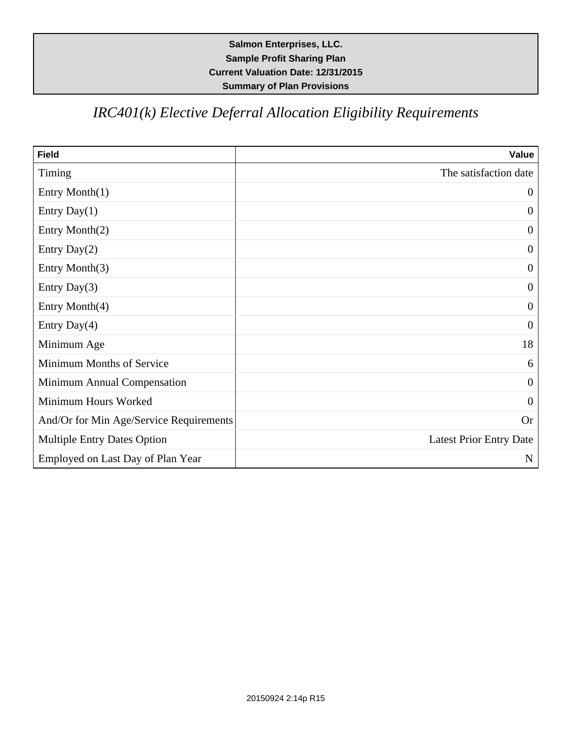# *IRC401(k) Elective Deferral Allocation Eligibility Requirements*

| <b>Field</b>                            | Value                          |
|-----------------------------------------|--------------------------------|
| Timing                                  | The satisfaction date          |
| Entry Month(1)                          | $\overline{0}$                 |
| Entry Day $(1)$                         | $\boldsymbol{0}$               |
| Entry Month(2)                          | $\boldsymbol{0}$               |
| Entry Day $(2)$                         | $\overline{0}$                 |
| Entry Month(3)                          | $\theta$                       |
| Entry Day $(3)$                         | $\overline{0}$                 |
| Entry Month(4)                          | $\theta$                       |
| Entry Day(4)                            | $\theta$                       |
| Minimum Age                             | 18                             |
| Minimum Months of Service               | 6                              |
| Minimum Annual Compensation             | $\overline{0}$                 |
| Minimum Hours Worked                    | $\theta$                       |
| And/Or for Min Age/Service Requirements | Or                             |
| <b>Multiple Entry Dates Option</b>      | <b>Latest Prior Entry Date</b> |
| Employed on Last Day of Plan Year       | $\mathbf N$                    |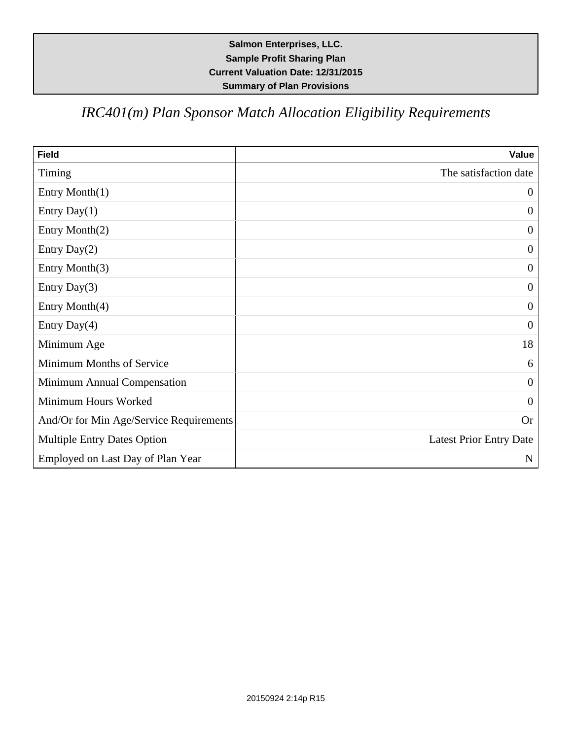# *IRC401(m) Plan Sponsor Match Allocation Eligibility Requirements*

| <b>Field</b>                            | Value                          |
|-----------------------------------------|--------------------------------|
| Timing                                  | The satisfaction date          |
| Entry Month(1)                          | $\overline{0}$                 |
| Entry Day $(1)$                         | $\boldsymbol{0}$               |
| Entry Month(2)                          | $\boldsymbol{0}$               |
| Entry Day $(2)$                         | $\boldsymbol{0}$               |
| Entry Month(3)                          | $\boldsymbol{0}$               |
| Entry Day(3)                            | $\boldsymbol{0}$               |
| Entry Month(4)                          | $\theta$                       |
| Entry Day(4)                            | $\overline{0}$                 |
| Minimum Age                             | 18                             |
| Minimum Months of Service               | 6                              |
| Minimum Annual Compensation             | $\overline{0}$                 |
| Minimum Hours Worked                    | $\theta$                       |
| And/Or for Min Age/Service Requirements | Or                             |
| <b>Multiple Entry Dates Option</b>      | <b>Latest Prior Entry Date</b> |
| Employed on Last Day of Plan Year       | $\mathbf N$                    |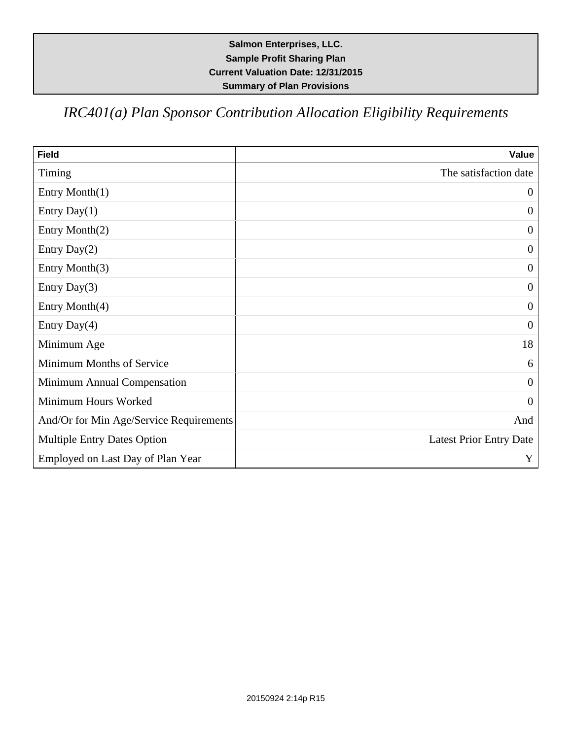# *IRC401(a) Plan Sponsor Contribution Allocation Eligibility Requirements*

| <b>Field</b>                            | Value                          |
|-----------------------------------------|--------------------------------|
| Timing                                  | The satisfaction date          |
| Entry Month(1)                          | $\mathbf{0}$                   |
| Entry Day $(1)$                         | $\boldsymbol{0}$               |
| Entry Month(2)                          | $\overline{0}$                 |
| Entry Day $(2)$                         | $\boldsymbol{0}$               |
| Entry Month(3)                          | $\mathbf{0}$                   |
| Entry Day(3)                            | $\overline{0}$                 |
| Entry Month(4)                          | $\overline{0}$                 |
| Entry Day(4)                            | $\overline{0}$                 |
| Minimum Age                             | 18                             |
| Minimum Months of Service               | 6                              |
| Minimum Annual Compensation             | $\overline{0}$                 |
| Minimum Hours Worked                    | $\mathbf{0}$                   |
| And/Or for Min Age/Service Requirements | And                            |
| <b>Multiple Entry Dates Option</b>      | <b>Latest Prior Entry Date</b> |
| Employed on Last Day of Plan Year       | Y                              |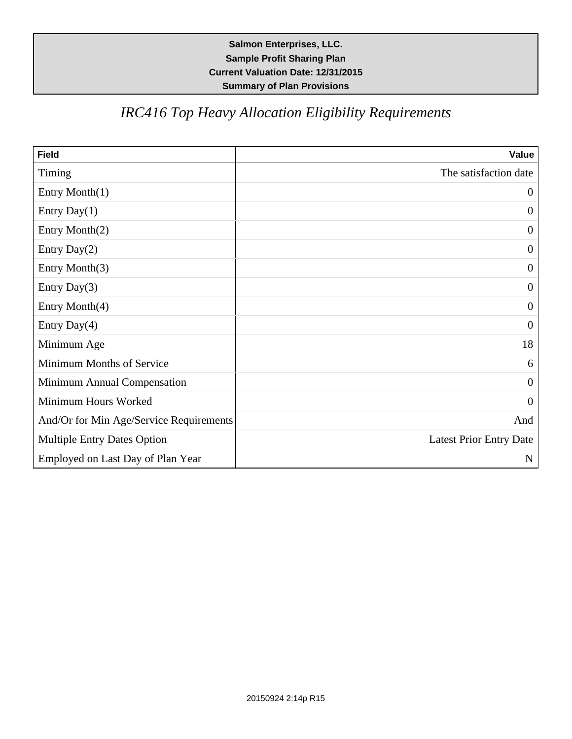# *IRC416 Top Heavy Allocation Eligibility Requirements*

| <b>Field</b>                            | Value                          |
|-----------------------------------------|--------------------------------|
| Timing                                  | The satisfaction date          |
| Entry Month(1)                          | $\overline{0}$                 |
| Entry Day $(1)$                         | $\boldsymbol{0}$               |
| Entry Month(2)                          | $\boldsymbol{0}$               |
| Entry Day $(2)$                         | $\boldsymbol{0}$               |
| Entry Month(3)                          | $\boldsymbol{0}$               |
| Entry Day(3)                            | $\boldsymbol{0}$               |
| Entry Month(4)                          | $\theta$                       |
| Entry Day(4)                            | $\overline{0}$                 |
| Minimum Age                             | 18                             |
| Minimum Months of Service               | 6                              |
| Minimum Annual Compensation             | $\overline{0}$                 |
| Minimum Hours Worked                    | $\theta$                       |
| And/Or for Min Age/Service Requirements | And                            |
| <b>Multiple Entry Dates Option</b>      | <b>Latest Prior Entry Date</b> |
| Employed on Last Day of Plan Year       | ${\bf N}$                      |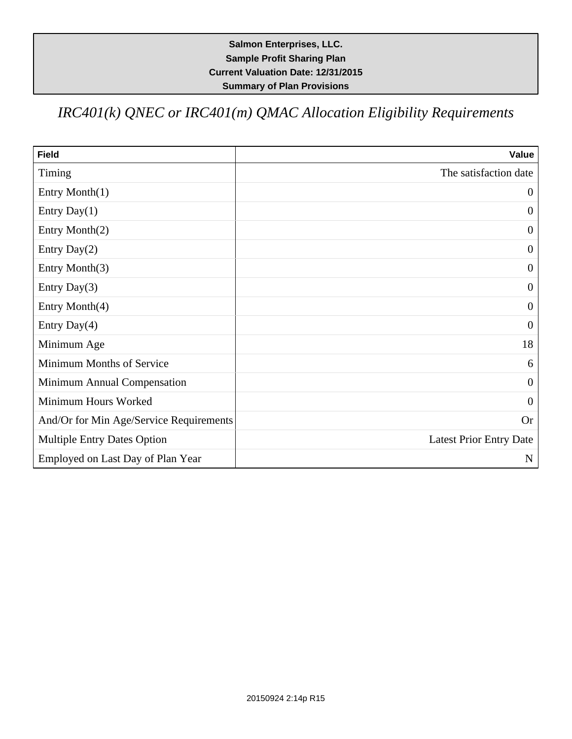*IRC401(k) QNEC or IRC401(m) QMAC Allocation Eligibility Requirements*

| <b>Field</b>                            | Value                          |
|-----------------------------------------|--------------------------------|
| Timing                                  | The satisfaction date          |
| Entry Month(1)                          | $\boldsymbol{0}$               |
| Entry Day $(1)$                         | $\theta$                       |
| Entry Month(2)                          | $\boldsymbol{0}$               |
| Entry Day $(2)$                         | $\boldsymbol{0}$               |
| Entry Month(3)                          | $\mathbf{0}$                   |
| Entry Day $(3)$                         | $\theta$                       |
| Entry Month(4)                          | $\overline{0}$                 |
| Entry Day $(4)$                         | $\overline{0}$                 |
| Minimum Age                             | 18                             |
| Minimum Months of Service               | 6                              |
| Minimum Annual Compensation             | $\overline{0}$                 |
| Minimum Hours Worked                    | $\theta$                       |
| And/Or for Min Age/Service Requirements | <b>Or</b>                      |
| <b>Multiple Entry Dates Option</b>      | <b>Latest Prior Entry Date</b> |
| Employed on Last Day of Plan Year       | N                              |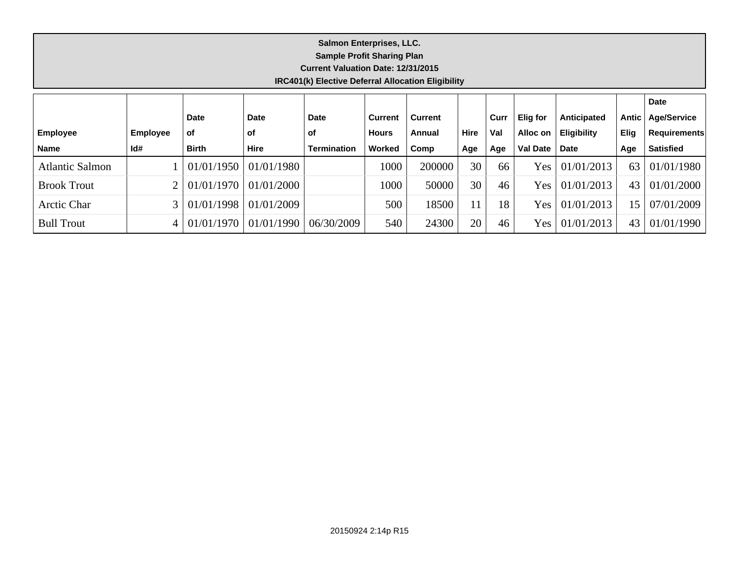#### **Salmon Enterprises, LLC. Sample Profit Sharing Plan Current Valuation Date: 12/31/2015 IRC401(k) Elective Deferral Allocation Eligibility**

|                        |                 |              |             |                    |              |                |             |      |                 |                    |             | <b>Date</b>         |
|------------------------|-----------------|--------------|-------------|--------------------|--------------|----------------|-------------|------|-----------------|--------------------|-------------|---------------------|
|                        |                 | <b>Date</b>  | <b>Date</b> | <b>Date</b>        | Current      | <b>Current</b> |             | Curr | <b>Elig for</b> | Anticipated        | Antic       | <b>Age/Service</b>  |
| <b>Employee</b>        | <b>Employee</b> | of           | οf          | of                 | <b>Hours</b> | Annual         | <b>Hire</b> | Val  | Alloc on        | <b>Eligibility</b> | <b>Elig</b> | <b>Requirements</b> |
| <b>Name</b>            | Id#             | <b>Birth</b> | <b>Hire</b> | <b>Termination</b> | Worked       | Comp           | Age         | Age  | <b>Val Date</b> | <b>Date</b>        | Age         | <b>Satisfied</b>    |
| <b>Atlantic Salmon</b> |                 | 01/01/1950   | 01/01/1980  |                    | 1000         | 200000         | 30          | 66   | Yes             | 01/01/2013         | 63          | 01/01/1980          |
| <b>Brook Trout</b>     |                 | 01/01/1970   | 01/01/2000  |                    | 1000         | 50000          | 30          | 46   | Yes             | 01/01/2013         | 43          | 01/01/2000          |
| Arctic Char            |                 | 01/01/1998   | 01/01/2009  |                    | 500          | 18500          |             | 18   | Yes             | 01/01/2013         | 5           | 07/01/2009          |
| <b>Bull Trout</b>      |                 | 01/01/1970   | 01/01/1990  | 06/30/2009         | 540          | 24300          | 20          | 46   | Yes             | 01/01/2013         | 43          | 01/01/1990          |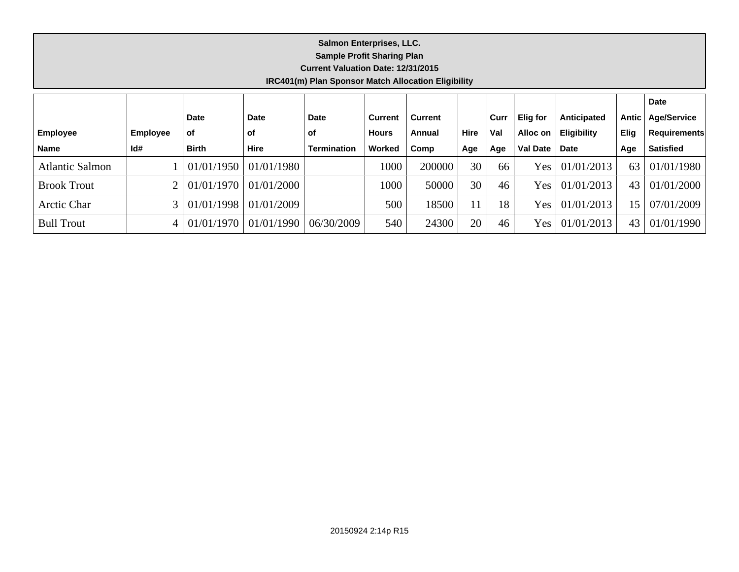#### **Salmon Enterprises, LLC. Sample Profit Sharing Plan Current Valuation Date: 12/31/2015 IRC401(m) Plan Sponsor Match Allocation Eligibility**

|                        |                 |              |             |                    |              |                |             |      |                 |                    |             | <b>Date</b>         |
|------------------------|-----------------|--------------|-------------|--------------------|--------------|----------------|-------------|------|-----------------|--------------------|-------------|---------------------|
|                        |                 | <b>Date</b>  | <b>Date</b> | <b>Date</b>        | Current      | <b>Current</b> |             | Curr | Elig for        | Anticipated        | Antic       | <b>Age/Service</b>  |
| <b>Employee</b>        | <b>Employee</b> | <b>of</b>    | <b>of</b>   | of                 | <b>Hours</b> | Annual         | <b>Hire</b> | Val  | Alloc on        | <b>Eligibility</b> | <b>Elig</b> | <b>Requirements</b> |
| <b>Name</b>            | Id#             | <b>Birth</b> | <b>Hire</b> | <b>Termination</b> | Worked       | Comp           | Age         | Age  | <b>Val Date</b> | <b>Date</b>        | Age         | <b>Satisfied</b>    |
| <b>Atlantic Salmon</b> |                 | 01/01/1950   | 01/01/1980  |                    | 1000         | 200000         | 30          | 66   | Yes             | 01/01/2013         | 63          | 01/01/1980          |
| <b>Brook Trout</b>     |                 | 01/01/1970   | 01/01/2000  |                    | 1000         | 50000          | 30          | 46   | Yes             | 01/01/2013         | 43          | 01/01/2000          |
| Arctic Char            |                 | 01/01/1998   | 01/01/2009  |                    | 500          | 18500          |             | 18   | Yes             | 01/01/2013         | 5           | 07/01/2009          |
| <b>Bull Trout</b>      |                 | 01/01/1970   | 01/01/1990  | 06/30/2009         | 540          | 24300          | 20          | 46   | Yes             | 01/01/2013         | 43          | 01/01/1990          |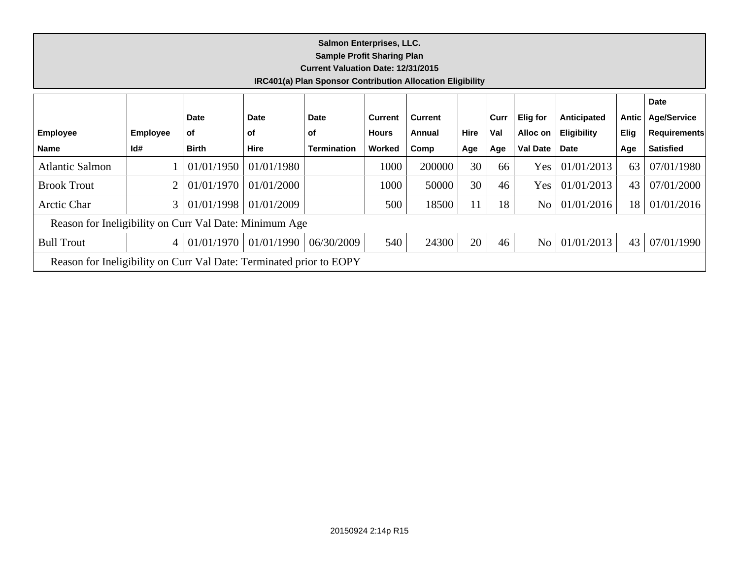#### **Salmon Enterprises, LLC. Sample Profit Sharing Plan Current Valuation Date: 12/31/2015 IRC401(a) Plan Sponsor Contribution Allocation Eligibility Employee Name Employee Id# Date of Birth Date of Hire Date of Termination Current Hours Worked Current Annual Comp Hire Age Curr Val Age Elig for Alloc on Val Date Anticipated Eligibility Date Antic Elig Age Date Age/Service Requirements Satisfied** Atlantic Salmon 1 01/01/1950 01/01/1980 1000 1000 200000 30 66 Yes 01/01/2013 63 07/01/1980 Brook Trout 1000 2 01/01/1970 01/01/2000 1000 1000 1000 50000 30 46 Yes 01/01/2013 43 07/01/2000 Arctic Char 3 01/01/1998 01/01/2009 500 18500 11 18 No 01/01/2016 18 01/01/2016 Reason for Ineligibility on Curr Val Date: Minimum Age Bull Trout 4 01/01/1970 01/01/1990 06/30/2009 540 24300 20 46 No 01/01/2013 43 07/01/1990 Reason for Ineligibility on Curr Val Date: Terminated prior to EOPY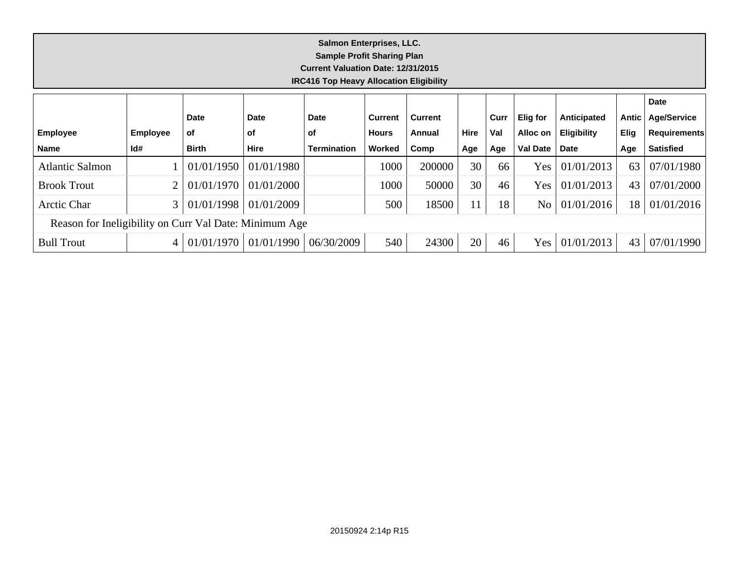| Salmon Enterprises, LLC.<br><b>Sample Profit Sharing Plan</b><br><b>Current Valuation Date: 12/31/2015</b><br><b>IRC416 Top Heavy Allocation Eligibility</b> |                 |              |             |                    |                |                |      |      |                 |                    |             |                     |
|--------------------------------------------------------------------------------------------------------------------------------------------------------------|-----------------|--------------|-------------|--------------------|----------------|----------------|------|------|-----------------|--------------------|-------------|---------------------|
|                                                                                                                                                              |                 |              |             |                    |                |                |      |      |                 |                    |             | Date                |
|                                                                                                                                                              |                 | <b>Date</b>  | <b>Date</b> | <b>Date</b>        | <b>Current</b> | <b>Current</b> |      | Curr | <b>Elig for</b> | Anticipated        | Antic       | <b>Age/Service</b>  |
| <b>Employee</b>                                                                                                                                              | <b>Employee</b> | <b>of</b>    | οf          | оf                 | <b>Hours</b>   | Annual         | Hire | Val  | Alloc on        | <b>Eligibility</b> | <b>Elig</b> | <b>Requirements</b> |
| <b>Name</b>                                                                                                                                                  | Id#             | <b>Birth</b> | <b>Hire</b> | <b>Termination</b> | Worked         | Comp           | Age  | Age  | <b>Val Date</b> | Date               | Age         | <b>Satisfied</b>    |
| <b>Atlantic Salmon</b>                                                                                                                                       |                 | 01/01/1950   | 01/01/1980  |                    | 1000           | 200000         | 30   | 66   | Yes             | 01/01/2013         | 63          | 07/01/1980          |
| <b>Brook Trout</b>                                                                                                                                           |                 | 01/01/1970   | 01/01/2000  |                    | 1000           | 50000          | 30   | 46   | Yes             | 01/01/2013         | 43          | 07/01/2000          |
| Arctic Char                                                                                                                                                  | 3               | 01/01/1998   | 01/01/2009  |                    | 500            | 18500          | 11   | 18   | No              | 01/01/2016         | 18          | 01/01/2016          |
| Reason for Ineligibility on Curr Val Date: Minimum Age                                                                                                       |                 |              |             |                    |                |                |      |      |                 |                    |             |                     |
| <b>Bull Trout</b>                                                                                                                                            | 4               | 01/01/1970   | 01/01/1990  | 06/30/2009         | 540            | 24300          | 20   | 46   | Yes             | 01/01/2013         | 43          | 07/01/1990          |